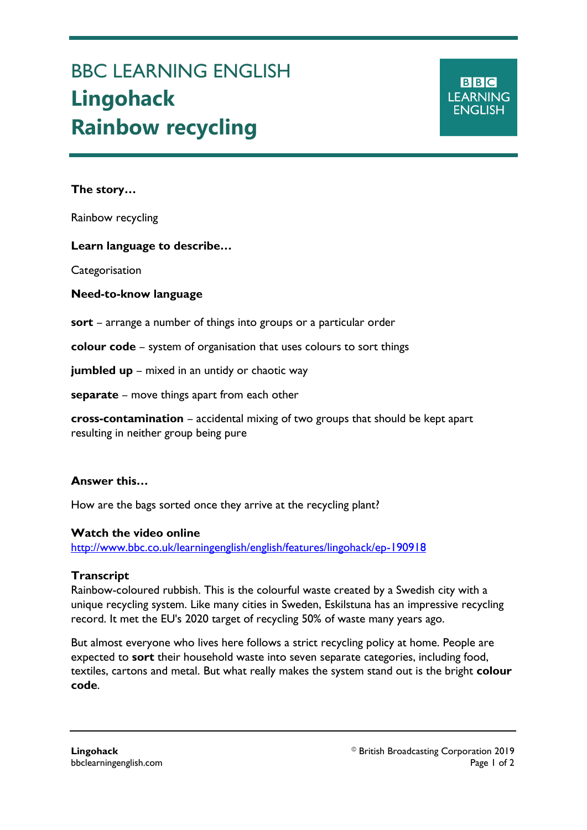# BBC LEARNING ENGLISH **Lingohack Rainbow recycling**

**The story…**

Ξ

Rainbow recycling

**Learn language to describe…**

**Categorisation** 

#### **Need-to-know language**

**sort** – arrange a number of things into groups or a particular order

**colour code** – system of organisation that uses colours to sort things

**jumbled up** – mixed in an untidy or chaotic way

**separate** – move things apart from each other

**cross-contamination** – accidental mixing of two groups that should be kept apart resulting in neither group being pure

## **Answer this…**

How are the bags sorted once they arrive at the recycling plant?

#### **Watch the video online**

<http://www.bbc.co.uk/learningenglish/english/features/lingohack/ep-190918>

## **Transcript**

Rainbow-coloured rubbish. This is the colourful waste created by a Swedish city with a unique recycling system. Like many cities in Sweden, Eskilstuna has an impressive recycling record. It met the EU's 2020 target of recycling 50% of waste many years ago.

But almost everyone who lives here follows a strict recycling policy at home. People are expected to **sort** their household waste into seven separate categories, including food, textiles, cartons and metal. But what really makes the system stand out is the bright **colour code**.